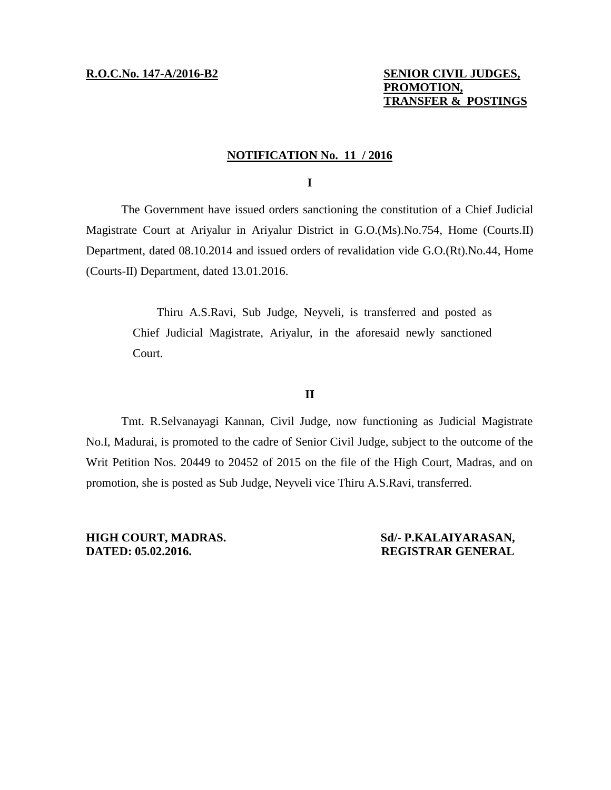# **R.O.C.No. 147-A/2016-B2 SENIOR CIVIL JUDGES, PROMOTION, TRANSFER & POSTINGS**

## **NOTIFICATION No. 11 / 2016**

**I**

The Government have issued orders sanctioning the constitution of a Chief Judicial Magistrate Court at Ariyalur in Ariyalur District in G.O.(Ms).No.754, Home (Courts.II) Department, dated 08.10.2014 and issued orders of revalidation vide G.O.(Rt).No.44, Home (Courts-II) Department, dated 13.01.2016.

> Thiru A.S.Ravi, Sub Judge, Neyveli, is transferred and posted as Chief Judicial Magistrate, Ariyalur, in the aforesaid newly sanctioned Court.

## **II**

Tmt. R.Selvanayagi Kannan, Civil Judge, now functioning as Judicial Magistrate No.I, Madurai, is promoted to the cadre of Senior Civil Judge, subject to the outcome of the Writ Petition Nos. 20449 to 20452 of 2015 on the file of the High Court, Madras, and on promotion, she is posted as Sub Judge, Neyveli vice Thiru A.S.Ravi, transferred.

**HIGH COURT, MADRAS. Sd/- P.KALAIYARASAN, DATED: 05.02.2016. REGISTRAR GENERAL**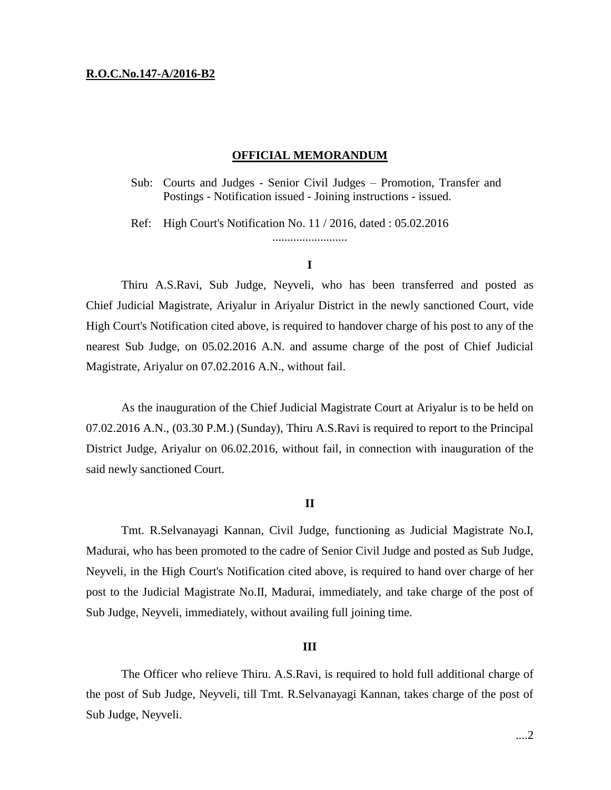### **R.O.C.No.147-A/2016-B2**

## **OFFICIAL MEMORANDUM**

Sub: Courts and Judges - Senior Civil Judges – Promotion, Transfer and Postings - Notification issued - Joining instructions - issued.

Ref: High Court's Notification No. 11 / 2016, dated : 05.02.2016 .........................

## **I**

Thiru A.S.Ravi, Sub Judge, Neyveli, who has been transferred and posted as Chief Judicial Magistrate, Ariyalur in Ariyalur District in the newly sanctioned Court, vide High Court's Notification cited above, is required to handover charge of his post to any of the nearest Sub Judge, on 05.02.2016 A.N. and assume charge of the post of Chief Judicial Magistrate, Ariyalur on 07.02.2016 A.N., without fail.

As the inauguration of the Chief Judicial Magistrate Court at Ariyalur is to be held on 07.02.2016 A.N., (03.30 P.M.) (Sunday), Thiru A.S.Ravi is required to report to the Principal District Judge, Ariyalur on 06.02.2016, without fail, in connection with inauguration of the said newly sanctioned Court.

## **II**

Tmt. R.Selvanayagi Kannan, Civil Judge, functioning as Judicial Magistrate No.I, Madurai, who has been promoted to the cadre of Senior Civil Judge and posted as Sub Judge, Neyveli, in the High Court's Notification cited above, is required to hand over charge of her post to the Judicial Magistrate No.II, Madurai, immediately, and take charge of the post of Sub Judge, Neyveli, immediately, without availing full joining time.

## **III**

The Officer who relieve Thiru. A.S.Ravi, is required to hold full additional charge of the post of Sub Judge, Neyveli, till Tmt. R.Selvanayagi Kannan, takes charge of the post of Sub Judge, Neyveli.